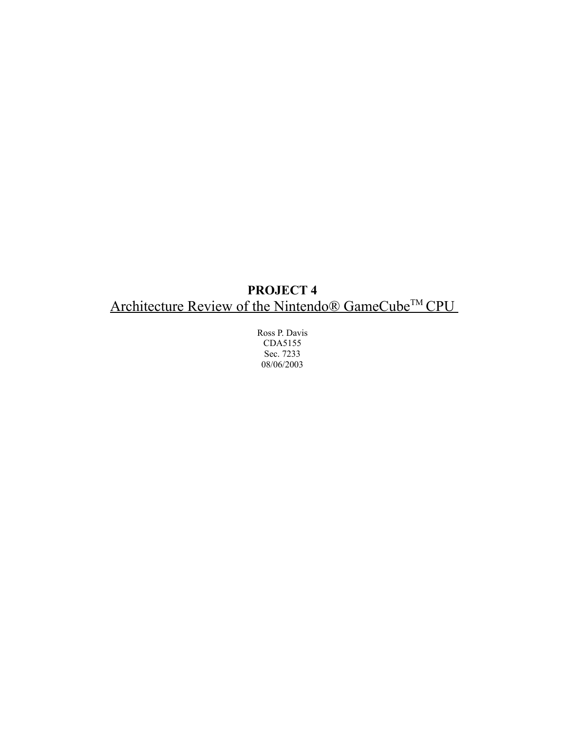# **PROJECT 4** Architecture Review of the Nintendo® GameCube<sup>™</sup> CPU

Ross P. Davis CDA5155 Sec. 7233 08/06/2003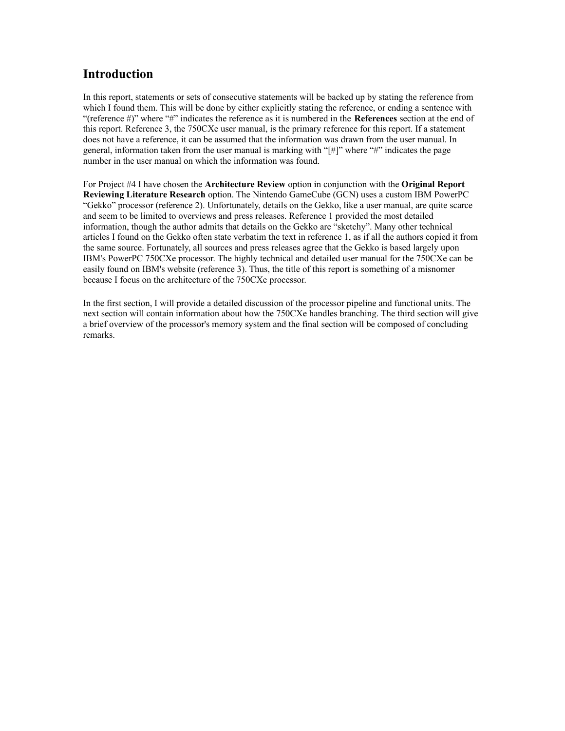#### **Introduction**

In this report, statements or sets of consecutive statements will be backed up by stating the reference from which I found them. This will be done by either explicitly stating the reference, or ending a sentence with "(reference #)" where "#" indicates the reference as it is numbered in the **References** section at the end of this report. Reference 3, the 750CXe user manual, is the primary reference for this report. If a statement does not have a reference, it can be assumed that the information was drawn from the user manual. In general, information taken from the user manual is marking with " $\vert \sharp \vert$ " where " $\sharp$ " indicates the page number in the user manual on which the information was found.

For Project #4 I have chosen the **Architecture Review** option in conjunction with the **Original Report Reviewing Literature Research** option. The Nintendo GameCube (GCN) uses a custom IBM PowerPC "Gekko" processor (reference 2). Unfortunately, details on the Gekko, like a user manual, are quite scarce and seem to be limited to overviews and press releases. Reference 1 provided the most detailed information, though the author admits that details on the Gekko are "sketchy". Many other technical articles I found on the Gekko often state verbatim the text in reference 1, as if all the authors copied it from the same source. Fortunately, all sources and press releases agree that the Gekko is based largely upon IBM's PowerPC 750CXe processor. The highly technical and detailed user manual for the 750CXe can be easily found on IBM's website (reference 3). Thus, the title of this report is something of a misnomer because I focus on the architecture of the 750CXe processor.

In the first section, I will provide a detailed discussion of the processor pipeline and functional units. The next section will contain information about how the 750CXe handles branching. The third section will give a brief overview of the processor's memory system and the final section will be composed of concluding remarks.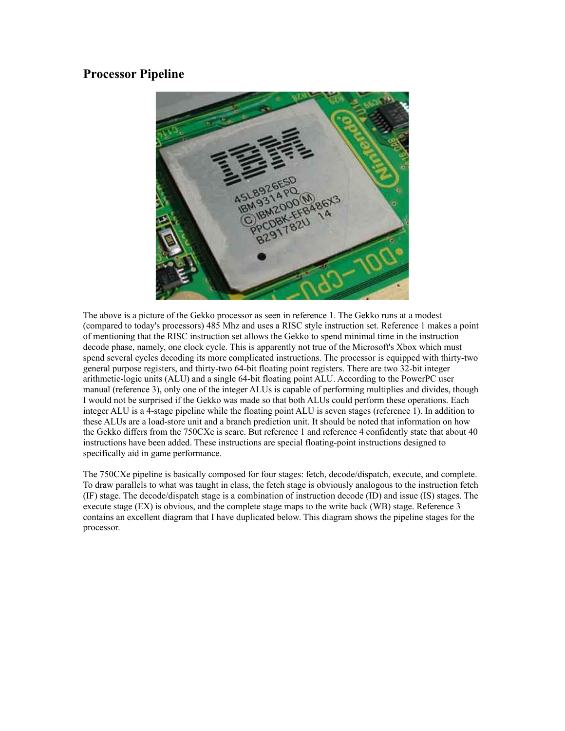### **Processor Pipeline**



The above is a picture of the Gekko processor as seen in reference 1. The Gekko runs at a modest (compared to today's processors) 485 Mhz and uses a RISC style instruction set. Reference 1 makes a point of mentioning that the RISC instruction set allows the Gekko to spend minimal time in the instruction decode phase, namely, one clock cycle. This is apparently not true of the Microsoft's Xbox which must spend several cycles decoding its more complicated instructions. The processor is equipped with thirty-two general purpose registers, and thirty-two 64-bit floating point registers. There are two 32-bit integer arithmetic-logic units (ALU) and a single 64-bit floating point ALU. According to the PowerPC user manual (reference 3), only one of the integer ALUs is capable of performing multiplies and divides, though I would not be surprised if the Gekko was made so that both ALUs could perform these operations. Each integer ALU is a 4-stage pipeline while the floating point ALU is seven stages (reference 1). In addition to these ALUs are a load-store unit and a branch prediction unit. It should be noted that information on how the Gekko differs from the 750CXe is scare. But reference 1 and reference 4 confidently state that about 40 instructions have been added. These instructions are special floating-point instructions designed to specifically aid in game performance.

The 750CXe pipeline is basically composed for four stages: fetch, decode/dispatch, execute, and complete. To draw parallels to what was taught in class, the fetch stage is obviously analogous to the instruction fetch (IF) stage. The decode/dispatch stage is a combination of instruction decode (ID) and issue (IS) stages. The execute stage (EX) is obvious, and the complete stage maps to the write back (WB) stage. Reference 3 contains an excellent diagram that I have duplicated below. This diagram shows the pipeline stages for the processor.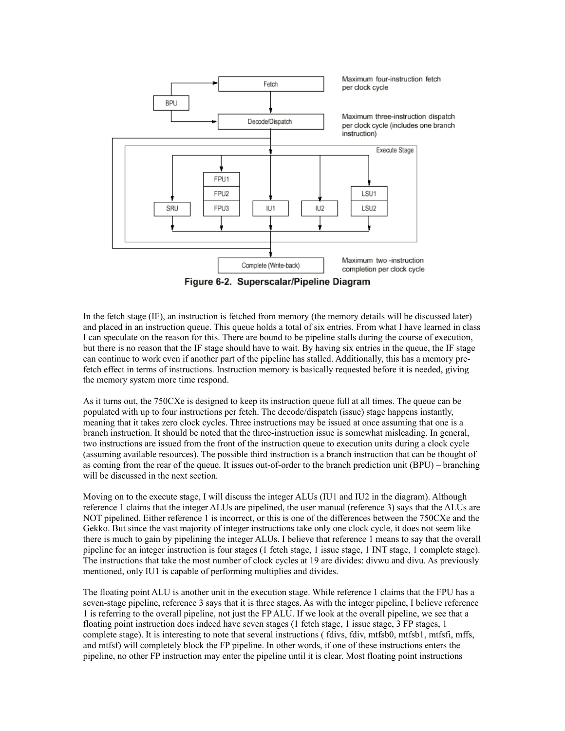

Figure 6-2. Superscalar/Pipeline Diagram

In the fetch stage (IF), an instruction is fetched from memory (the memory details will be discussed later) and placed in an instruction queue. This queue holds a total of six entries. From what I have learned in class I can speculate on the reason for this. There are bound to be pipeline stalls during the course of execution, but there is no reason that the IF stage should have to wait. By having six entries in the queue, the IF stage can continue to work even if another part of the pipeline has stalled. Additionally, this has a memory prefetch effect in terms of instructions. Instruction memory is basically requested before it is needed, giving the memory system more time respond.

As it turns out, the 750CXe is designed to keep its instruction queue full at all times. The queue can be populated with up to four instructions per fetch. The decode/dispatch (issue) stage happens instantly, meaning that it takes zero clock cycles. Three instructions may be issued at once assuming that one is a branch instruction. It should be noted that the three-instruction issue is somewhat misleading. In general, two instructions are issued from the front of the instruction queue to execution units during a clock cycle (assuming available resources). The possible third instruction is a branch instruction that can be thought of as coming from the rear of the queue. It issues out-of-order to the branch prediction unit (BPU) – branching will be discussed in the next section.

Moving on to the execute stage, I will discuss the integer ALUs (IU1 and IU2 in the diagram). Although reference 1 claims that the integer ALUs are pipelined, the user manual (reference 3) says that the ALUs are NOT pipelined. Either reference 1 is incorrect, or this is one of the differences between the 750CXe and the Gekko. But since the vast majority of integer instructions take only one clock cycle, it does not seem like there is much to gain by pipelining the integer ALUs. I believe that reference 1 means to say that the overall pipeline for an integer instruction is four stages (1 fetch stage, 1 issue stage, 1 INT stage, 1 complete stage). The instructions that take the most number of clock cycles at 19 are divides: divwu and divu. As previously mentioned, only IU1 is capable of performing multiplies and divides.

The floating point ALU is another unit in the execution stage. While reference 1 claims that the FPU has a seven-stage pipeline, reference 3 says that it is three stages. As with the integer pipeline, I believe reference 1 is referring to the overall pipeline, not just the FP ALU. If we look at the overall pipeline, we see that a floating point instruction does indeed have seven stages (1 fetch stage, 1 issue stage, 3 FP stages, 1 complete stage). It is interesting to note that several instructions (fdivs, fdiv, mtfsb0, mtfsb1, mtfsfi, mffs, and mtfsf) will completely block the FP pipeline. In other words, if one of these instructions enters the pipeline, no other FP instruction may enter the pipeline until it is clear. Most floating point instructions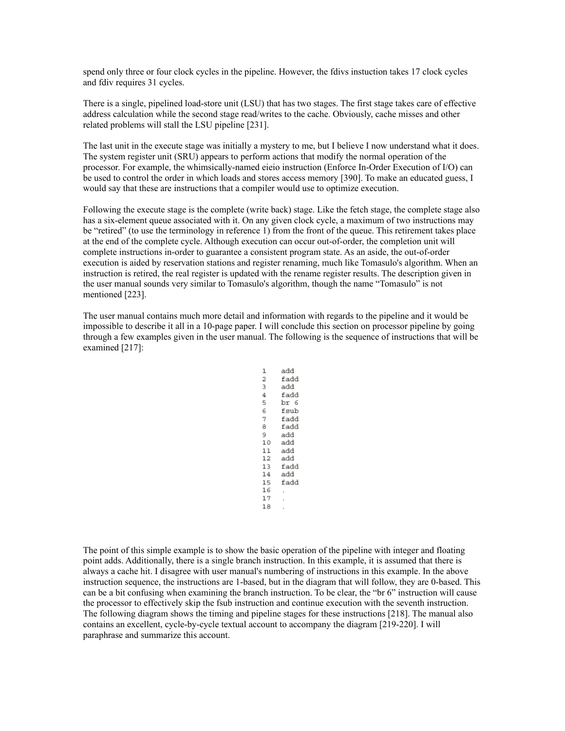spend only three or four clock cycles in the pipeline. However, the fdivs instuction takes 17 clock cycles and fdiv requires 31 cycles.

There is a single, pipelined load-store unit (LSU) that has two stages. The first stage takes care of effective address calculation while the second stage read/writes to the cache. Obviously, cache misses and other related problems will stall the LSU pipeline [231].

The last unit in the execute stage was initially a mystery to me, but I believe I now understand what it does. The system register unit (SRU) appears to perform actions that modify the normal operation of the processor. For example, the whimsically-named eieio instruction (Enforce In-Order Execution of I/O) can be used to control the order in which loads and stores access memory [390]. To make an educated guess, I would say that these are instructions that a compiler would use to optimize execution.

Following the execute stage is the complete (write back) stage. Like the fetch stage, the complete stage also has a six-element queue associated with it. On any given clock cycle, a maximum of two instructions may be "retired" (to use the terminology in reference 1) from the front of the queue. This retirement takes place at the end of the complete cycle. Although execution can occur out-of-order, the completion unit will complete instructions in-order to guarantee a consistent program state. As an aside, the out-of-order execution is aided by reservation stations and register renaming, much like Tomasulo's algorithm. When an instruction is retired, the real register is updated with the rename register results. The description given in the user manual sounds very similar to Tomasulo's algorithm, though the name "Tomasulo" is not mentioned [223].

The user manual contains much more detail and information with regards to the pipeline and it would be impossible to describe it all in a 10-page paper. I will conclude this section on processor pipeline by going through a few examples given in the user manual. The following is the sequence of instructions that will be examined [217]:

> add  $\mathbf{1}$  $\overline{2}$ fadd 3 add  $\overline{4}$ fadd br 6 5 6 fsub  $\overline{7}$ fadd 8 fadd  $\mathbf{Q}$ add 10 add  $11$ add 12 add 13 fadd  $14$ add 15 fadd 16  $17$ 18

The point of this simple example is to show the basic operation of the pipeline with integer and floating point adds. Additionally, there is a single branch instruction. In this example, it is assumed that there is always a cache hit. I disagree with user manual's numbering of instructions in this example. In the above instruction sequence, the instructions are 1-based, but in the diagram that will follow, they are 0-based. This can be a bit confusing when examining the branch instruction. To be clear, the "br 6" instruction will cause the processor to effectively skip the fsub instruction and continue execution with the seventh instruction. The following diagram shows the timing and pipeline stages for these instructions [218]. The manual also contains an excellent, cycle-by-cycle textual account to accompany the diagram [219-220]. I will paraphrase and summarize this account.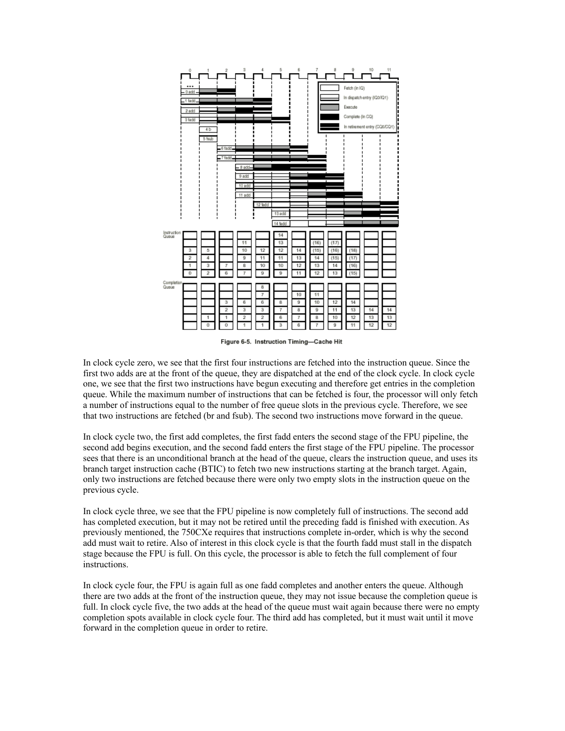

Figure 6-5. Instruction Timing-Cache Hit

In clock cycle zero, we see that the first four instructions are fetched into the instruction queue. Since the first two adds are at the front of the queue, they are dispatched at the end of the clock cycle. In clock cycle one, we see that the first two instructions have begun executing and therefore get entries in the completion queue. While the maximum number of instructions that can be fetched is four, the processor will only fetch a number of instructions equal to the number of free queue slots in the previous cycle. Therefore, we see that two instructions are fetched (br and fsub). The second two instructions move forward in the queue.

In clock cycle two, the first add completes, the first fadd enters the second stage of the FPU pipeline, the second add begins execution, and the second fadd enters the first stage of the FPU pipeline. The processor sees that there is an unconditional branch at the head of the queue, clears the instruction queue, and uses its branch target instruction cache (BTIC) to fetch two new instructions starting at the branch target. Again, only two instructions are fetched because there were only two empty slots in the instruction queue on the previous cycle.

In clock cycle three, we see that the FPU pipeline is now completely full of instructions. The second add has completed execution, but it may not be retired until the preceding fadd is finished with execution. As previously mentioned, the 750CXe requires that instructions complete in-order, which is why the second add must wait to retire. Also of interest in this clock cycle is that the fourth fadd must stall in the dispatch stage because the FPU is full. On this cycle, the processor is able to fetch the full complement of four instructions.

In clock cycle four, the FPU is again full as one fadd completes and another enters the queue. Although there are two adds at the front of the instruction queue, they may not issue because the completion queue is full. In clock cycle five, the two adds at the head of the queue must wait again because there were no empty completion spots available in clock cycle four. The third add has completed, but it must wait until it move forward in the completion queue in order to retire.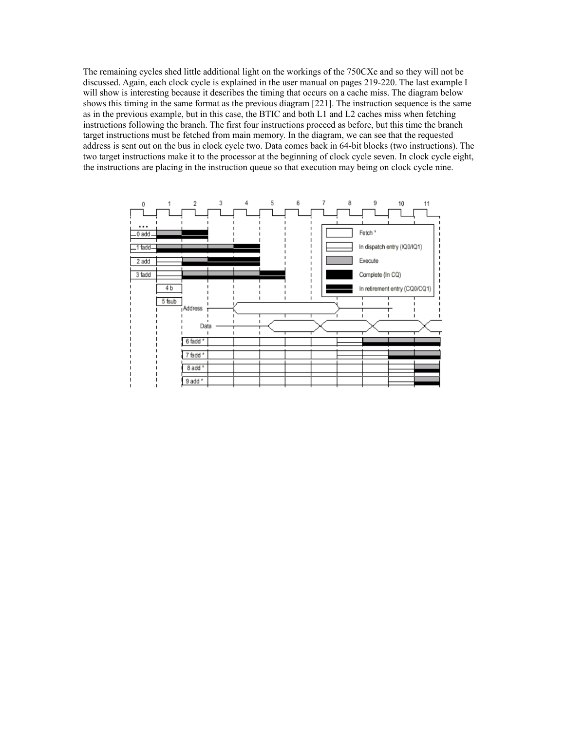The remaining cycles shed little additional light on the workings of the 750CXe and so they will not be discussed. Again, each clock cycle is explained in the user manual on pages 219-220. The last example I will show is interesting because it describes the timing that occurs on a cache miss. The diagram below shows this timing in the same format as the previous diagram [221]. The instruction sequence is the same as in the previous example, but in this case, the BTIC and both L1 and L2 caches miss when fetching instructions following the branch. The first four instructions proceed as before, but this time the branch target instructions must be fetched from main memory. In the diagram, we can see that the requested address is sent out on the bus in clock cycle two. Data comes back in 64-bit blocks (two instructions). The two target instructions make it to the processor at the beginning of clock cycle seven. In clock cycle eight, the instructions are placing in the instruction queue so that execution may being on clock cycle nine.

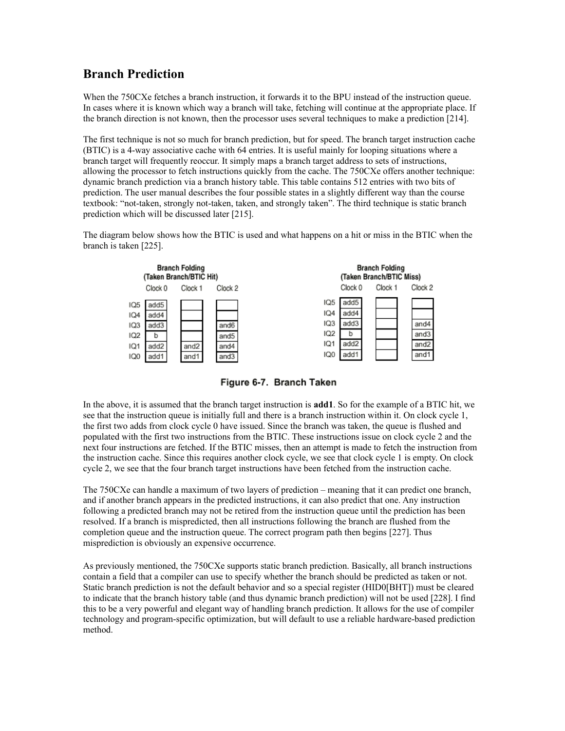# **Branch Prediction**

When the 750CXe fetches a branch instruction, it forwards it to the BPU instead of the instruction queue. In cases where it is known which way a branch will take, fetching will continue at the appropriate place. If the branch direction is not known, then the processor uses several techniques to make a prediction [214].

The first technique is not so much for branch prediction, but for speed. The branch target instruction cache (BTIC) is a 4-way associative cache with 64 entries. It is useful mainly for looping situations where a branch target will frequently reoccur. It simply maps a branch target address to sets of instructions, allowing the processor to fetch instructions quickly from the cache. The 750CXe offers another technique: dynamic branch prediction via a branch history table. This table contains 512 entries with two bits of prediction. The user manual describes the four possible states in a slightly different way than the course textbook: "not-taken, strongly not-taken, taken, and strongly taken". The third technique is static branch prediction which will be discussed later [215].

The diagram below shows how the BTIC is used and what happens on a hit or miss in the BTIC when the branch is taken [225].



Figure 6-7. Branch Taken

In the above, it is assumed that the branch target instruction is **add1**. So for the example of a BTIC hit, we see that the instruction queue is initially full and there is a branch instruction within it. On clock cycle 1, the first two adds from clock cycle 0 have issued. Since the branch was taken, the queue is flushed and populated with the first two instructions from the BTIC. These instructions issue on clock cycle 2 and the next four instructions are fetched. If the BTIC misses, then an attempt is made to fetch the instruction from the instruction cache. Since this requires another clock cycle, we see that clock cycle 1 is empty. On clock cycle 2, we see that the four branch target instructions have been fetched from the instruction cache.

The 750CXe can handle a maximum of two layers of prediction – meaning that it can predict one branch, and if another branch appears in the predicted instructions, it can also predict that one. Any instruction following a predicted branch may not be retired from the instruction queue until the prediction has been resolved. If a branch is mispredicted, then all instructions following the branch are flushed from the completion queue and the instruction queue. The correct program path then begins [227]. Thus misprediction is obviously an expensive occurrence.

As previously mentioned, the 750CXe supports static branch prediction. Basically, all branch instructions contain a field that a compiler can use to specify whether the branch should be predicted as taken or not. Static branch prediction is not the default behavior and so a special register (HID0[BHT]) must be cleared to indicate that the branch history table (and thus dynamic branch prediction) will not be used [228]. I find this to be a very powerful and elegant way of handling branch prediction. It allows for the use of compiler technology and program-specific optimization, but will default to use a reliable hardware-based prediction method.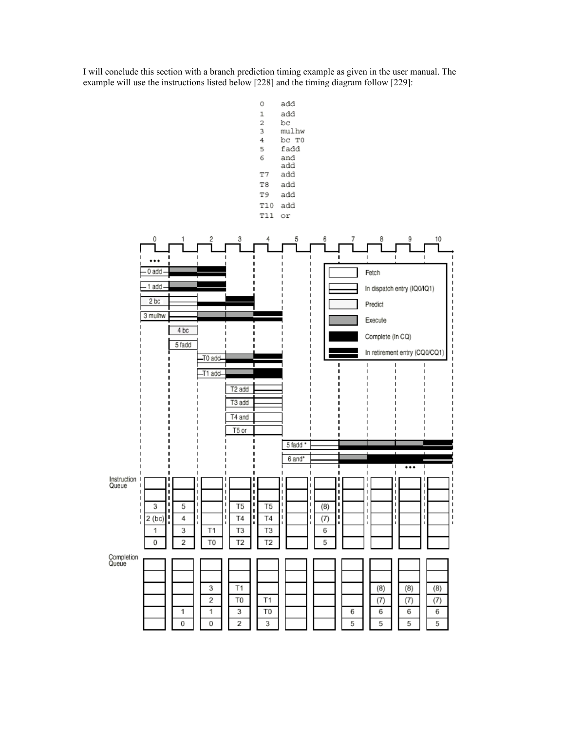I will conclude this section with a branch prediction timing example as given in the user manual. The example will use the instructions listed below [228] and the timing diagram follow [229]:

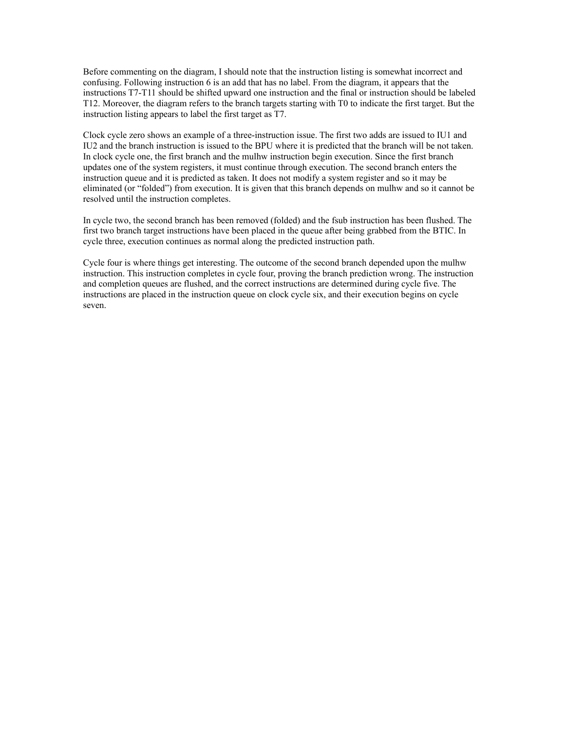Before commenting on the diagram, I should note that the instruction listing is somewhat incorrect and confusing. Following instruction 6 is an add that has no label. From the diagram, it appears that the instructions T7-T11 should be shifted upward one instruction and the final or instruction should be labeled T12. Moreover, the diagram refers to the branch targets starting with T0 to indicate the first target. But the instruction listing appears to label the first target as T7.

Clock cycle zero shows an example of a three-instruction issue. The first two adds are issued to IU1 and IU2 and the branch instruction is issued to the BPU where it is predicted that the branch will be not taken. In clock cycle one, the first branch and the mulhw instruction begin execution. Since the first branch updates one of the system registers, it must continue through execution. The second branch enters the instruction queue and it is predicted as taken. It does not modify a system register and so it may be eliminated (or "folded") from execution. It is given that this branch depends on mulhw and so it cannot be resolved until the instruction completes.

In cycle two, the second branch has been removed (folded) and the fsub instruction has been flushed. The first two branch target instructions have been placed in the queue after being grabbed from the BTIC. In cycle three, execution continues as normal along the predicted instruction path.

Cycle four is where things get interesting. The outcome of the second branch depended upon the mulhw instruction. This instruction completes in cycle four, proving the branch prediction wrong. The instruction and completion queues are flushed, and the correct instructions are determined during cycle five. The instructions are placed in the instruction queue on clock cycle six, and their execution begins on cycle seven.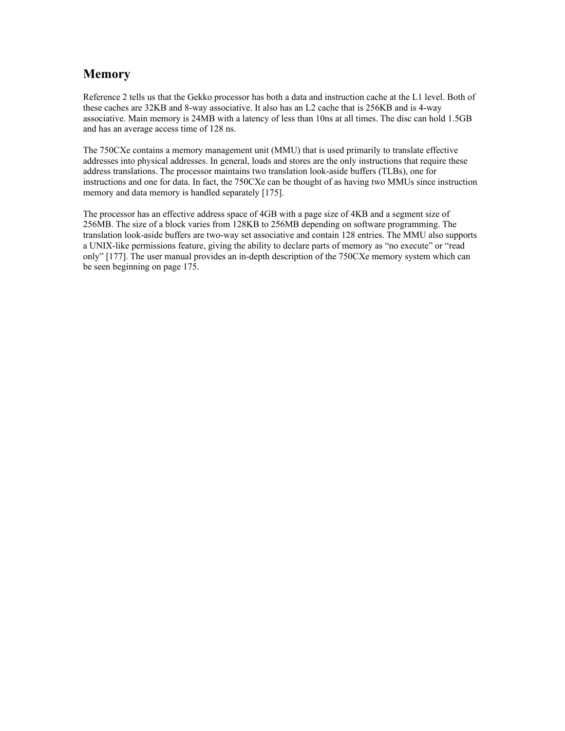### **Memory**

Reference 2 tells us that the Gekko processor has both a data and instruction cache at the L1 level. Both of these caches are 32KB and 8-way associative. It also has an L2 cache that is 256KB and is 4-way associative. Main memory is 24MB with a latency of less than 10ns at all times. The disc can hold 1.5GB and has an average access time of 128 ns.

The 750CXe contains a memory management unit (MMU) that is used primarily to translate effective addresses into physical addresses. In general, loads and stores are the only instructions that require these address translations. The processor maintains two translation look-aside buffers (TLBs), one for instructions and one for data. In fact, the 750CXe can be thought of as having two MMUs since instruction memory and data memory is handled separately [175].

The processor has an effective address space of 4GB with a page size of 4KB and a segment size of 256MB. The size of a block varies from 128KB to 256MB depending on software programming. The translation look-aside buffers are two-way set associative and contain 128 entries. The MMU also supports a UNIX-like permissions feature, giving the ability to declare parts of memory as "no execute" or "read only" [177]. The user manual provides an in-depth description of the 750CXe memory system which can be seen beginning on page 175.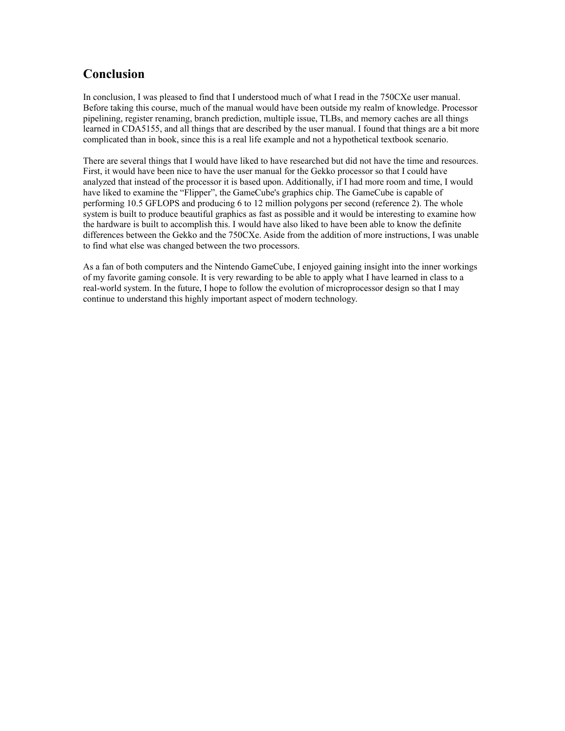# **Conclusion**

In conclusion, I was pleased to find that I understood much of what I read in the 750CXe user manual. Before taking this course, much of the manual would have been outside my realm of knowledge. Processor pipelining, register renaming, branch prediction, multiple issue, TLBs, and memory caches are all things learned in CDA5155, and all things that are described by the user manual. I found that things are a bit more complicated than in book, since this is a real life example and not a hypothetical textbook scenario.

There are several things that I would have liked to have researched but did not have the time and resources. First, it would have been nice to have the user manual for the Gekko processor so that I could have analyzed that instead of the processor it is based upon. Additionally, if I had more room and time, I would have liked to examine the "Flipper", the GameCube's graphics chip. The GameCube is capable of performing 10.5 GFLOPS and producing 6 to 12 million polygons per second (reference 2). The whole system is built to produce beautiful graphics as fast as possible and it would be interesting to examine how the hardware is built to accomplish this. I would have also liked to have been able to know the definite differences between the Gekko and the 750CXe. Aside from the addition of more instructions, I was unable to find what else was changed between the two processors.

As a fan of both computers and the Nintendo GameCube, I enjoyed gaining insight into the inner workings of my favorite gaming console. It is very rewarding to be able to apply what I have learned in class to a real-world system. In the future, I hope to follow the evolution of microprocessor design so that I may continue to understand this highly important aspect of modern technology.